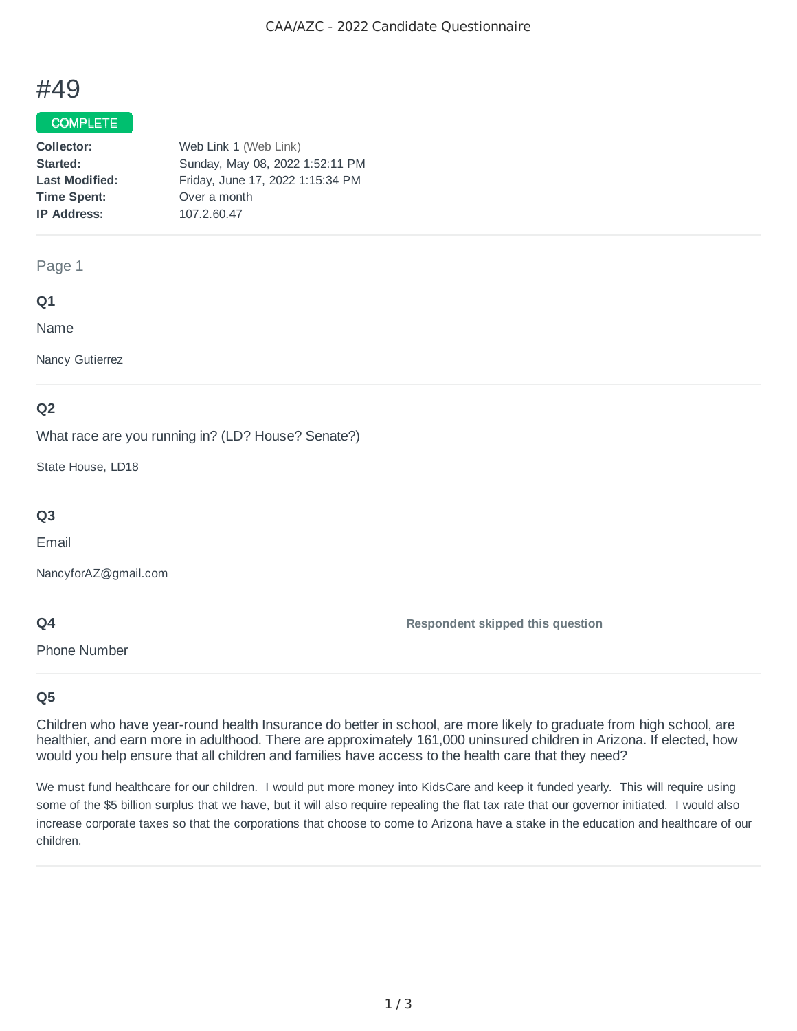# #49

### COMPLETE

| Collector:            | Web Link 1 (Web Link)            |
|-----------------------|----------------------------------|
| Started:              | Sunday, May 08, 2022 1:52:11 PM  |
| <b>Last Modified:</b> | Friday, June 17, 2022 1:15:34 PM |
| <b>Time Spent:</b>    | Over a month                     |
| <b>IP Address:</b>    | 107.2.60.47                      |
|                       |                                  |

#### Page 1

## **Q1**

Name

Nancy Gutierrez

## **Q2**

What race are you running in? (LD? House? Senate?)

State House, LD18

## **Q3**

Email

NancyforAZ@gmail.com

## **Q4**

Phone Number

**Respondent skipped this question**

## **Q5**

Children who have year-round health Insurance do better in school, are more likely to graduate from high school, are healthier, and earn more in adulthood. There are approximately 161,000 uninsured children in Arizona. If elected, how would you help ensure that all children and families have access to the health care that they need?

We must fund healthcare for our children. I would put more money into KidsCare and keep it funded yearly. This will require using some of the \$5 billion surplus that we have, but it will also require repealing the flat tax rate that our governor initiated. I would also increase corporate taxes so that the corporations that choose to come to Arizona have a stake in the education and healthcare of our children.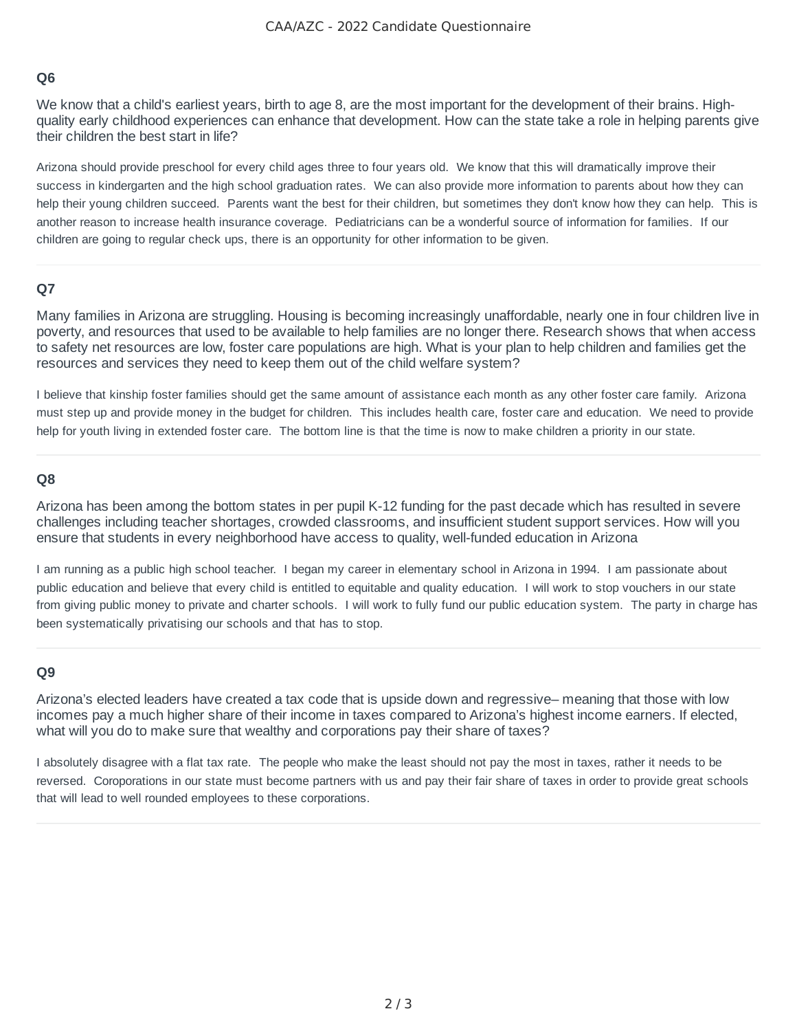## **Q6**

We know that a child's earliest years, birth to age 8, are the most important for the development of their brains. Highquality early childhood experiences can enhance that development. How can the state take a role in helping parents give their children the best start in life?

Arizona should provide preschool for every child ages three to four years old. We know that this will dramatically improve their success in kindergarten and the high school graduation rates. We can also provide more information to parents about how they can help their young children succeed. Parents want the best for their children, but sometimes they don't know how they can help. This is another reason to increase health insurance coverage. Pediatricians can be a wonderful source of information for families. If our children are going to regular check ups, there is an opportunity for other information to be given.

## **Q7**

Many families in Arizona are struggling. Housing is becoming increasingly unaffordable, nearly one in four children live in poverty, and resources that used to be available to help families are no longer there. Research shows that when access to safety net resources are low, foster care populations are high. What is your plan to help children and families get the resources and services they need to keep them out of the child welfare system?

I believe that kinship foster families should get the same amount of assistance each month as any other foster care family. Arizona must step up and provide money in the budget for children. This includes health care, foster care and education. We need to provide help for youth living in extended foster care. The bottom line is that the time is now to make children a priority in our state.

#### **Q8**

Arizona has been among the bottom states in per pupil K-12 funding for the past decade which has resulted in severe challenges including teacher shortages, crowded classrooms, and insufficient student support services. How will you ensure that students in every neighborhood have access to quality, well-funded education in Arizona

I am running as a public high school teacher. I began my career in elementary school in Arizona in 1994. I am passionate about public education and believe that every child is entitled to equitable and quality education. I will work to stop vouchers in our state from giving public money to private and charter schools. I will work to fully fund our public education system. The party in charge has been systematically privatising our schools and that has to stop.

#### **Q9**

Arizona's elected leaders have created a tax code that is upside down and regressive– meaning that those with low incomes pay a much higher share of their income in taxes compared to Arizona's highest income earners. If elected, what will you do to make sure that wealthy and corporations pay their share of taxes?

I absolutely disagree with a flat tax rate. The people who make the least should not pay the most in taxes, rather it needs to be reversed. Coroporations in our state must become partners with us and pay their fair share of taxes in order to provide great schools that will lead to well rounded employees to these corporations.